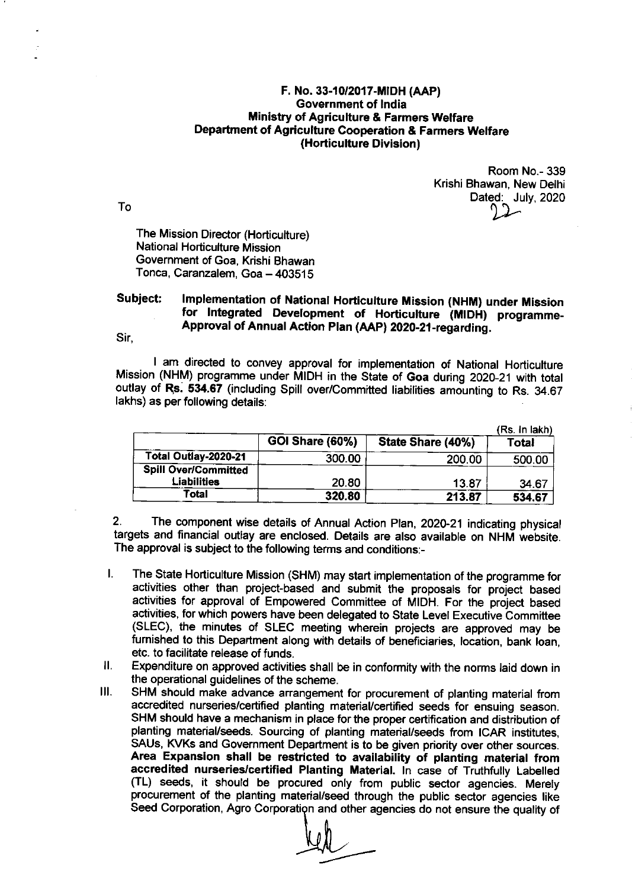## F. No. 33-10/2017-MIDH (AAP) Government of lndia **Ministry of Agriculture & Farmers Welfare** Department of Agriculture Cooperation & Farmers Welfare (Horticulture Division)

Room No.- 339 Krishi Bhawan, New Delhi Dated: July, 2020

The Mission Director (Horticulture) National Horticulture Mission Government of Goa, Krishi Bhawan Tonca, Caranzalem, Goa - 403515

## Subject: Implementation of National Horticulture Mission (NHM) under Mission<br>for Integrated Development of Horticulture (MIDH) programme-Approval of Annual Action Plan (AAP) 2020-21-regarding.

Sir,

I am directed to convey approval for implementation of National Horticulture Mission (NHM) programme under MIDH in the state of Goa during 2020-21 with total outlay of Rs. 534.67 (including Spill over/Committed liabilities amounting to Rs. 34.67 lakhs) as per following details:

|                             |                 |                   | (Rs. in lakh) |
|-----------------------------|-----------------|-------------------|---------------|
|                             | GOI Share (60%) | State Share (40%) | Total         |
| Total Outlay-2020-21        | 300.00          | 200.00            | 500.00        |
| <b>Spill Over/Committed</b> |                 |                   |               |
| Liabilities                 | 20.80           | 13.87             | 34.67         |
| Total                       | 320.80          | 213.87            | 534.67        |

2. The component wise details of Annual Action plan, 2O2O-21 indicating physical targets and financial outlay are enclosed. Details are also available on NHM website. The approval is subject to the following terms and conditions:-

- $\mathbf{L}$ The State Horticulture Mission (SHM) may start implementation of the programme for activities other than project-based and submit the proposals for project based activities for approval of Empowered Committee of MIDH. For the project based activities, for which powers have been delegated to State Level Executive Committee (SLEC), the minutes of SLEC meeting wherein projects are approved may be furnished to this Department along with details of beneficiaries, location, bank ioan, etc. to facilitate release of funds.
- $II.$ Expenditure on approved activities shall be in conformity with the norms laid down in the operational guidelines of the scheme.
- $III.$ SHM should make advance arrangement for procurement of planting material from accredited nurseries/certified planting material/certified seeds for ensuing season. SHM should have a mechanism in place for the proper certification and distribution of planting material/seeds. Sourcing of planting material/seeds ftom ICAR institutes, SAUs, KVKs and Government Department is to be given priority over other sources. Area Expansion shall be restricted to availability of planting material from accredited nurseries/certified Planting Material. In case of Truthfully Labelled (TL) seeds, it should be procured only from public sector agencies. Merely procurement of the planting material/seed through the public sector agencies like Seed Corporation, Agro Corporation and other agencies do not ensure the quality of

To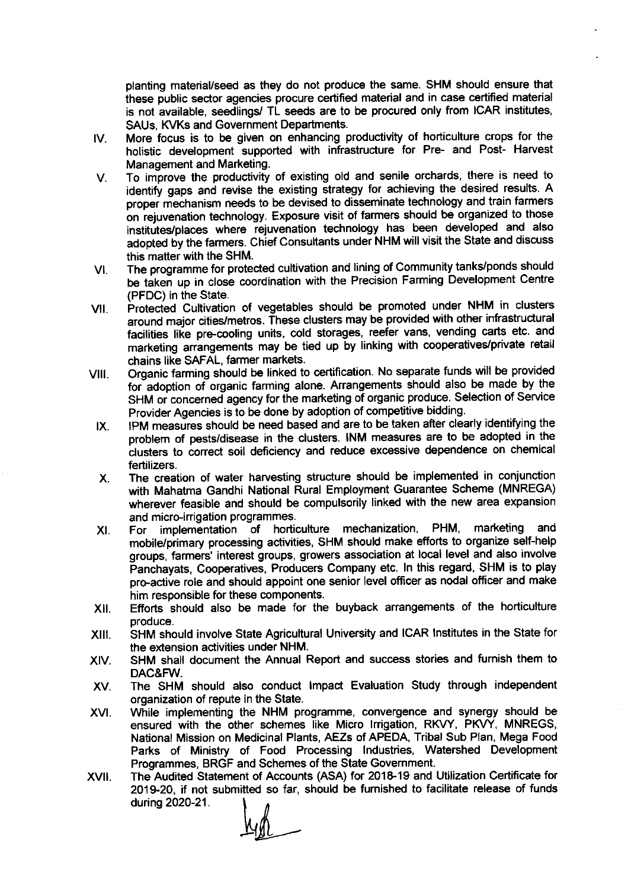planting material/seed as they do not produce the same. SHM should ensure that these public sector agencies procure certified material and in case certified material is not available, seedlings/ TL seeds are to be procured only from ICAR institutes, SAUs, KVKs and Government Departments.

- IV More focus is to be given on enhancing productivity of horticulture crops for the holistic development supported with infrastructure for Pre- and Post- Harvest Management and Marketing.
- To improve the productivity of existing old and senile orchards, there is need to V. identify gaps and revise the existing strategy for achieving the desired results. A proper mechanism needs to be devised to disseminate technology and train farmers on rejuvenation technology. Exposure visit of farmers should be organized to those institutes/places where rejuvenation technology has been developed and also adopted by the farmers. chief consultants under NHM will visit the state and discuss this matter with the SHM.
- VI The programme for protected cultivation and lining of Community tanks/ponds should be taken up in close coordination with the Precision Farming Development Centre (PFDC) in the State.
- vll Protected Cultivation of vegetables should be promoted under NHM in clusters around major cities/metros. fhese clusters may be provided with other infrastructural facilities like pre-cooling units, cold storages, reefer vans, vending carts etc. and marketing arrangements may be tied up by linking with cooperatives/private retail chains like SAFAL, farmer markets.
- vlll organic farming should be linked to certification. No separate funds will be provided for adoption of organic farming alone. Arrangements should also be made by the SHM or concerned agency for the marketing of organic produce. Selection of Service Provider Agencies is to be done by adoption of competitive bidding.
	- lpM measures should be need based and are to be taken affer clearly identifying the problem of pests/disease in the clusters. INM measures are to be adopted in the clusters to correct soil deficiency and reduce excessive dependence on chemical fertilizers. IX
	- The creation of water harvesting struc{ure should be implemented in conjunction with Mahatma Gandhi National Rural Employment Guarantee Scheme (MNREGA) wherever feasible and should be compulsorily linked with the new area expansion and micro-irrigation programmes.  $X_{-}$
	- For implementation of horticulture mechanization, PHM, marketing and mobile/primary processing activities, SHM should make efforts to organize self-help groups, farmers' interest groups, growers association at local level and also involve Panchayats, Cooperatives, Producers Company etc. ln this regard, SHM is to play pro-active role and should appoint one senior level officer as nodal officer and make him responsible for these components. XI
- XII. Efforts should also be made for the buyback arrangements of the horticulture produce.
- xlll SHM should involve State Agricultural University and ICAR lnstitutes in the State for the extension activities under NHM.
- XIV. SHM shall document the Annual Report and success stories and fumish them to DAC&FW.
- XV The SHM should also conduct lmpact Evaluation Study through independent organization of repute in the State.
- XVI. While implementing the NHM programme, convergence and synergy should be ensured with the other schemes like Micro Irrigation, RKVY, PKVY, MNREGS, National Mission on Medicinal Plants, AEZs of APEDA, Tribal Sub Plan, Mega Food Parks of Ministry of Food Processing lndustries, Watershed Development Programmes, BRGF and Schemes of the State Government.
- The Audited Statement of Accounts (ASA) for 2018-19 and Utilization Certificate for 2019-20, if not submitted so far, should be furnished to facilitate release of funds<br>during 2020-21.<br>All xvI during 2020-21.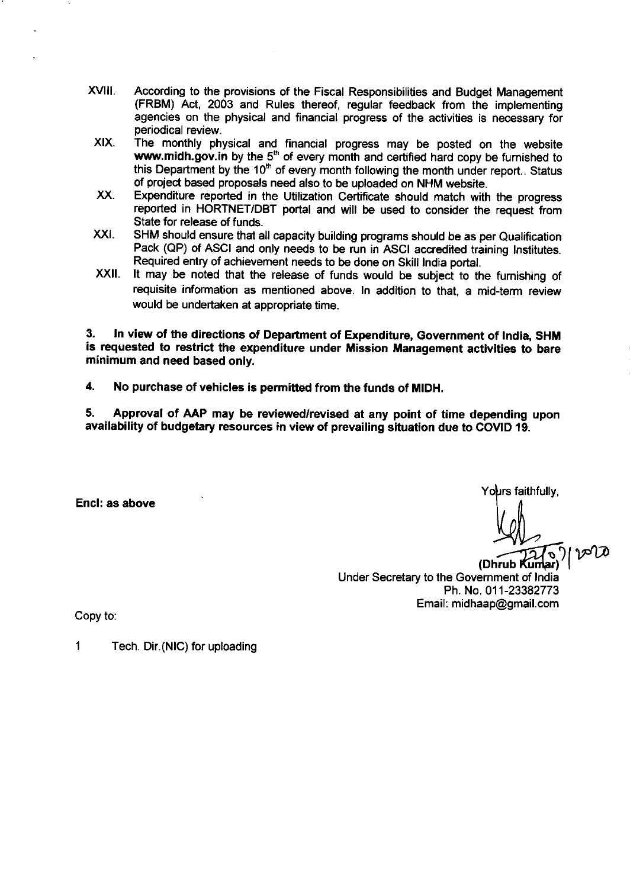- xvil. According to the provisions of the Fiscal Responsibilities and Budget Management (FRBM) Act, 2003 and Rules thereof, regular feedback from the implementing agencies on the physical and financial progress of the activities is necessary for periodical review.
	- XIX. The monthly physical and financial progress may be posted on the website www.midh.gov.in by the  $5<sup>th</sup>$  of every month and certified hard copy be furnished to this Department by the  $10<sup>th</sup>$  of every month following the month under report.. Status of project based proposals need also to be uploaded on NHM website.
	- xx. Expenditure reported in the Utilization Certificate should match with the progress reported in HORTNET/DBT portal and will be used to consider the request from State for release of funds.
- xxt SHM should ensure that all capacity building programs should be as per Qualification Pack (QP) of ASCI and only needs to be run in ASCI accredited training lnstitutes. Required entry of achievement needs to be done on Skill lndia portal.
- xxil It may be noted that the release of funds would be subject to the fumishing of requisite information as mentioned above. In addition to that, a mid-term review would be undertaken at appropriate time.

3. ln view of the directions of Department of Expenditure, Government of lndia, SHM is requested to restrict the expenditure under Mission Management activities to bare minimum and need based only.

4. No purchase of vehicles is permitted from the funds of MIDH.

5. Approval of AAP may be reviewed/revised at any point of time depending upon availability of budgetary resources in view of prevailing situation due to COVID 19.

Encl: as above

Yo**u**rs faithfully.

 $\sigma$ 

 $\mathcal{O}(\log n)$ 

(Dhrub Kumar) Under Secretary to the Government of lndia Ph. No. 01 1-23382773 Email: midhaap@gmail.com

Copy to

1 Tech. Dir.(NlC) for uploading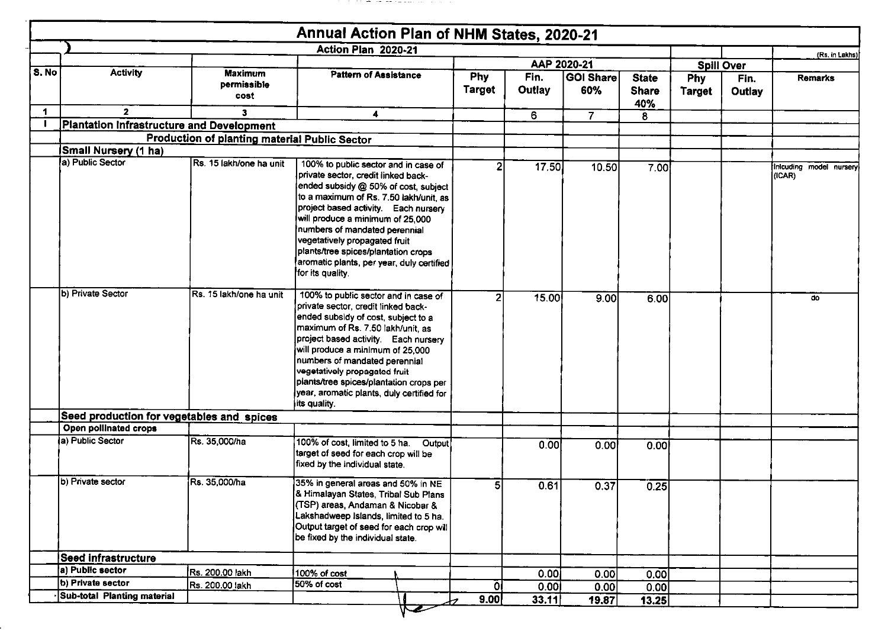|              |                                                  |                                               | Annual Action Plan of NHM States, 2020-21                                                                                                                                                                                                                                                                                                                                                                           |                      |                |                         |                                     |                      |                   |                                   |
|--------------|--------------------------------------------------|-----------------------------------------------|---------------------------------------------------------------------------------------------------------------------------------------------------------------------------------------------------------------------------------------------------------------------------------------------------------------------------------------------------------------------------------------------------------------------|----------------------|----------------|-------------------------|-------------------------------------|----------------------|-------------------|-----------------------------------|
|              |                                                  |                                               | Action Plan 2020-21                                                                                                                                                                                                                                                                                                                                                                                                 |                      |                |                         |                                     |                      |                   | (Rs. in Lakhs)                    |
| S. No        | <b>Activity</b>                                  |                                               |                                                                                                                                                                                                                                                                                                                                                                                                                     |                      | AAP 2020-21    |                         |                                     |                      | <b>Spill Over</b> |                                   |
|              |                                                  | <b>Maximum</b><br>permissible<br>cost         | Pattern of Assistance                                                                                                                                                                                                                                                                                                                                                                                               | <b>Phy</b><br>Target | Fin.<br>Outlay | <b>GOI Share</b><br>60% | <b>State</b><br><b>Share</b><br>40% | Phy<br><b>Target</b> | Fin.<br>Outlay    | Remarks                           |
| $\mathbf{1}$ | $\mathbf{2}$                                     | 3                                             | 4                                                                                                                                                                                                                                                                                                                                                                                                                   |                      | 6.             | $\overline{7}$          | 8                                   |                      |                   |                                   |
|              | <b>Plantation Infrastructure and Development</b> |                                               |                                                                                                                                                                                                                                                                                                                                                                                                                     |                      |                |                         |                                     |                      |                   |                                   |
|              |                                                  | Production of planting material Public Sector |                                                                                                                                                                                                                                                                                                                                                                                                                     |                      |                |                         |                                     |                      |                   |                                   |
|              | Small Nursery (1 ha)                             |                                               |                                                                                                                                                                                                                                                                                                                                                                                                                     |                      |                |                         |                                     |                      |                   |                                   |
|              | a) Public Sector                                 | Rs. 15 lakh/one ha unit                       | 100% to public sector and in case of<br>private sector, credit linked back-<br>ended subsidy @ 50% of cost, subject<br>to a maximum of Rs. 7.50 lakh/unit, as<br>project based activity. Each nursery<br>will produce a minimum of 25,000<br>numbers of mandated perennial<br>vegetatively propagated fruit<br>plants/tree spices/plantation crops<br>aromatic plants, per year, duly certified<br>for its quality. | 2                    | 17.50          | 10.50                   | 7.00                                |                      |                   | Inicuding model nursery<br>(ICAR) |
|              | b) Private Sector                                | Rs. 15 lakh/one ha unit                       | 100% to public sector and in case of<br>private sector, credit linked back-<br>ended subsidy of cost, subject to a<br>maximum of Rs. 7.50 lakh/unit, as<br>project based activity. Each nursery<br>will produce a minimum of 25,000<br>numbers of mandated perennial<br>vegetatively propagated fruit<br>plants/tree spices/plantation crops per<br>year, aromatic plants, duly certified for<br>its quality.       | $\overline{2}$       | 15.00          | 9.00                    | 6.00                                |                      |                   | do                                |
|              | Seed production for vegetables and spices        |                                               |                                                                                                                                                                                                                                                                                                                                                                                                                     |                      |                |                         |                                     |                      |                   |                                   |
|              | Open pollinated crops                            |                                               |                                                                                                                                                                                                                                                                                                                                                                                                                     |                      |                |                         |                                     |                      |                   |                                   |
|              | (a) Public Sector                                | Rs. 35,000/ha                                 | 100% of cost, limited to 5 ha.<br>Output<br>target of seed for each crop will be<br>fixed by the individual state.                                                                                                                                                                                                                                                                                                  |                      | 0.00           | 0.00                    | 0.00                                |                      |                   |                                   |
|              | b) Private sector                                | Rs. 35,000/ha                                 | 35% in general areas and 50% in NE<br>& Himalayan States, Tribal Sub Plans<br>(TSP) areas, Andaman & Nicobar &<br>Lakshadweep Islands, limited to 5 ha.<br>Output target of seed for each crop will<br>be fixed by the individual state.                                                                                                                                                                            |                      | 0.61           | 0.37                    | 0.25                                |                      |                   |                                   |
|              | <b>Seed infrastructure</b>                       |                                               |                                                                                                                                                                                                                                                                                                                                                                                                                     |                      |                |                         |                                     |                      |                   |                                   |
|              | a) Public sector                                 | Rs. 200.00 lakh                               | 100% of cost                                                                                                                                                                                                                                                                                                                                                                                                        |                      | 0.00           |                         |                                     |                      |                   |                                   |
|              | b) Private sector                                | Rs. 200.00 lakh                               | 50% of cost                                                                                                                                                                                                                                                                                                                                                                                                         | ΟĮ                   | 0.001          | 0.00<br>0.00            | 0.00                                |                      |                   |                                   |
|              | Sub-total Planting material                      |                                               |                                                                                                                                                                                                                                                                                                                                                                                                                     |                      |                |                         | 0.00                                |                      |                   |                                   |
|              |                                                  |                                               |                                                                                                                                                                                                                                                                                                                                                                                                                     | 9.00                 | 33.11          | 19.87                   | 13.25                               |                      |                   |                                   |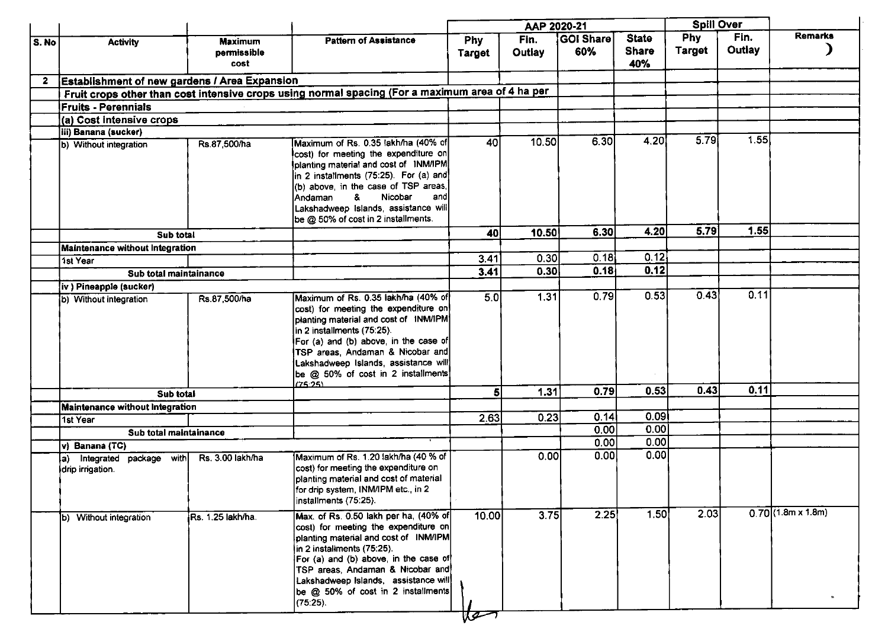|       |                                                        |                                       |                                                                                                                                                                                                                                                                                                                                |                             | AAP 2020-21    |                         |                                     | <b>Spill Over</b>           |                       |                                       |  |
|-------|--------------------------------------------------------|---------------------------------------|--------------------------------------------------------------------------------------------------------------------------------------------------------------------------------------------------------------------------------------------------------------------------------------------------------------------------------|-----------------------------|----------------|-------------------------|-------------------------------------|-----------------------------|-----------------------|---------------------------------------|--|
| S. No | <b>Activity</b>                                        | <b>Maximum</b><br>permissible<br>cost | <b>Pattern of Assistance</b>                                                                                                                                                                                                                                                                                                   | <b>Phy</b><br><b>Target</b> | Fin.<br>Outlay | <b>GOI Share</b><br>60% | <b>State</b><br><b>Share</b><br>40% | <b>Phy</b><br><b>Target</b> | Fin.<br><b>Outlay</b> | <b>Remarks</b>                        |  |
| 2     | Establishment of new gardens / Area Expansion          |                                       |                                                                                                                                                                                                                                                                                                                                |                             |                |                         |                                     |                             |                       |                                       |  |
|       |                                                        |                                       | Fruit crops other than cost intensive crops using normal spacing (For a maximum area of 4 ha per                                                                                                                                                                                                                               |                             |                |                         |                                     |                             |                       |                                       |  |
|       | <b>Fruits - Perennials</b>                             |                                       |                                                                                                                                                                                                                                                                                                                                |                             |                |                         |                                     |                             |                       |                                       |  |
|       | (a) Cost intensive crops                               |                                       |                                                                                                                                                                                                                                                                                                                                |                             |                |                         |                                     |                             |                       |                                       |  |
|       | iii) Banana (sucker)                                   |                                       |                                                                                                                                                                                                                                                                                                                                |                             |                |                         |                                     |                             |                       |                                       |  |
|       | b) Without integration                                 | Rs.87,500/ha                          | Maximum of Rs. 0.35 lakh/ha (40% of<br>cost) for meeting the expenditure on<br>planting material and cost of INM/IPM<br>in 2 installments (75:25). For (a) and<br>(b) above, in the case of TSP areas,<br>Nicobar<br>lAndaman.<br>&<br>andl<br>Lakshadweep Islands, assistance will<br>be @ 50% of cost in 2 installments.     | 40 <sub>l</sub>             | 10.50          | 6.30                    | 4.20                                | 5.79                        | 1.55                  |                                       |  |
|       | Sub total                                              |                                       |                                                                                                                                                                                                                                                                                                                                | 40                          | 10.50          | 6.30                    | 4.20                                | 5.79                        | 1.55                  |                                       |  |
|       | Maintenance without Integration                        |                                       |                                                                                                                                                                                                                                                                                                                                |                             |                |                         |                                     |                             |                       |                                       |  |
|       | 1st Year                                               |                                       |                                                                                                                                                                                                                                                                                                                                | 3.41                        | 0.30           | 0.18                    | 0.12                                |                             |                       |                                       |  |
|       | Sub total maintainance                                 |                                       |                                                                                                                                                                                                                                                                                                                                | 3.41                        | 0.30           | 0.18                    | 0.12                                |                             |                       |                                       |  |
|       | iv ) Pineapple (sucker)                                |                                       |                                                                                                                                                                                                                                                                                                                                |                             |                |                         |                                     |                             |                       |                                       |  |
|       | (b) Without integration                                | Rs.87,500/ha                          | Maximum of Rs. 0.35 lakh/ha (40% of<br>cost) for meeting the expenditure on<br>planting material and cost of INM/IPM<br>in 2 installments (75:25).<br>For (a) and (b) above, in the case of<br>TSP areas, Andaman & Nicobar and<br>Lakshadweep Islands, assistance will<br>be @ 50% of cost in 2 installments<br>(75.25)       | 5.0                         | 1.31           | 0.79                    | 0.53                                | 0.43                        | 0.11                  |                                       |  |
|       | Sub total                                              |                                       |                                                                                                                                                                                                                                                                                                                                | 5 <sup>1</sup>              | 1.31           | 0.79                    | 0.53                                | 0.43                        | 0.11                  |                                       |  |
|       | Maintenance without Integration                        |                                       |                                                                                                                                                                                                                                                                                                                                |                             |                |                         |                                     |                             |                       |                                       |  |
|       | 1st Year                                               |                                       |                                                                                                                                                                                                                                                                                                                                | 2.63                        | 0.23           | 0.14                    | 0.09                                |                             |                       |                                       |  |
|       | Sub total maintainance                                 |                                       |                                                                                                                                                                                                                                                                                                                                |                             |                | 0.00                    | 0.00                                |                             |                       |                                       |  |
|       | $\overline{v}$ Banana (TC)                             |                                       |                                                                                                                                                                                                                                                                                                                                |                             |                | 0.00                    | 0.00                                |                             |                       |                                       |  |
|       | Integrated package<br>with<br>la).<br>drip irrigation. | Rs. 3.00 lakh/ha                      | Maximum of Rs. 1.20 lakh/ha (40 % of<br>cost) for meeting the expenditure on<br>planting material and cost of material<br>for drip system, INM/IPM etc. in 2<br>installments (75:25).                                                                                                                                          |                             | 0.00           | 0.00                    | 0.00                                |                             |                       |                                       |  |
|       | b) Without integration                                 | Rs. 1.25 lakh/ha.                     | Max. of Rs. 0.50 lakh per ha, (40% of<br>cost) for meeting the expenditure on<br>planting material and cost of INM/IPM<br>in 2 installments (75:25).<br>For (a) and (b) above, in the case of<br>TSP areas, Andaman & Nicobar and<br>Lakshadweep Islands, assistance will<br>be @ 50% of cost in 2 installments<br>$(75:25)$ . | 10.00<br>ाउटन               | 3.75           | 2.25                    | 1.50                                | 2.03                        |                       | $0.70(1.8m \times 1.8m)$<br>$\alpha.$ |  |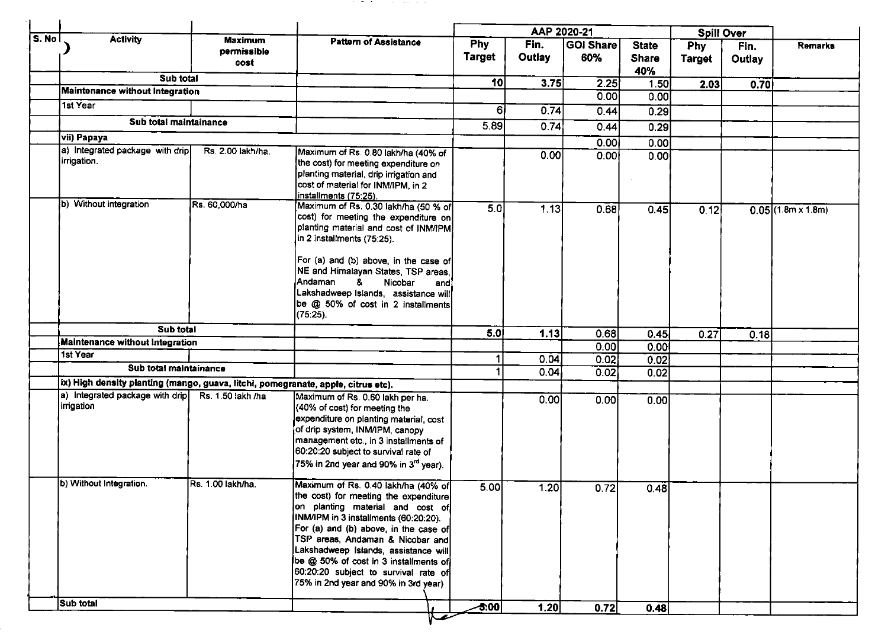| <b>Maximum</b> | <b>Pattern of Assistance</b>                              | Phy | Fin | <b>IGOLShareL</b> | State |
|----------------|-----------------------------------------------------------|-----|-----|-------------------|-------|
|                |                                                           |     |     | AAP 2020-21       |       |
|                |                                                           |     |     |                   |       |
|                |                                                           |     |     |                   |       |
|                | the contract of the con-<br>the company of the company of |     |     |                   |       |

| $\overline{\mathsf{S}}$ . No |                                                                                   |                                       |                                                                                                                                                                                                                                                                                                                                                                                                         |                             | AAP 2020-21    |                         |                                     |                      | <b>Spill Over</b> |                      |
|------------------------------|-----------------------------------------------------------------------------------|---------------------------------------|---------------------------------------------------------------------------------------------------------------------------------------------------------------------------------------------------------------------------------------------------------------------------------------------------------------------------------------------------------------------------------------------------------|-----------------------------|----------------|-------------------------|-------------------------------------|----------------------|-------------------|----------------------|
|                              | <b>Activity</b>                                                                   | <b>Maximum</b><br>permissible<br>cost | <b>Pattern of Assistance</b>                                                                                                                                                                                                                                                                                                                                                                            | <b>Phy</b><br><b>Target</b> | Fin.<br>Outlay | <b>GOI Share</b><br>60% | <b>State</b><br><b>Share</b><br>40% | Phy<br><b>Target</b> | Fin.<br>Outlay    | <b>Remarks</b>       |
|                              | Sub total                                                                         |                                       |                                                                                                                                                                                                                                                                                                                                                                                                         | 10 <sub>l</sub>             | 3.75           | 2.25                    | 1.50                                | 2.03                 | 0.70              |                      |
|                              | Maintenance without Integration                                                   |                                       |                                                                                                                                                                                                                                                                                                                                                                                                         |                             |                | 0.00                    | 0.00                                |                      |                   |                      |
|                              | 1st Year                                                                          |                                       |                                                                                                                                                                                                                                                                                                                                                                                                         | 6 <sub>1</sub>              | 0.74           | 0.44                    | 0.29                                |                      |                   |                      |
|                              | Sub total maintainance                                                            |                                       |                                                                                                                                                                                                                                                                                                                                                                                                         | 5.89                        | 0.74           | 0.44                    | 0.29                                |                      |                   |                      |
|                              | vii) Papaya                                                                       |                                       |                                                                                                                                                                                                                                                                                                                                                                                                         |                             |                | 0.00                    | 0.00                                |                      |                   |                      |
|                              | a) Integrated package with drip<br>irrigation.                                    | Rs. 2.00 lakh/ha.                     | Maximum of Rs. 0.80 lakh/ha (40% of<br>the cost) for meeting expenditure on<br>planting material, drip irrigation and<br>cost of material for INM/IPM, in 2<br>installments (75:25).                                                                                                                                                                                                                    |                             | 0.00           | 0.00                    | 0.00                                |                      |                   |                      |
|                              | b) Without integration                                                            | Rs. 60,000/ha                         | Maximum of Rs. 0.30 lakh/ha (50 % of<br>cost) for meeting the expenditure on<br>planting material and cost of INM/IPM<br>in 2 installments (75:25).<br>For (a) and (b) above, in the case of<br>NE and Himalayan States, TSP areas,<br>lAndaman<br>Nicobar<br>8.<br>and<br>Lakshadweep Islands, assistance will<br>be @ 50% of cost in 2 installments<br>$(75:25)$ .                                    | 5.0                         | 1.13           | 0.68                    | 0.45                                | 0.12                 |                   | $0.05$ (1.8m x 1.8m) |
|                              | Sub total                                                                         |                                       |                                                                                                                                                                                                                                                                                                                                                                                                         | 5.0                         | 1.13           | 0.68                    | 0.45                                | 0.27                 | 0.18              |                      |
|                              | Maintenance without Integration                                                   |                                       |                                                                                                                                                                                                                                                                                                                                                                                                         |                             |                | 0.00                    | 0.001                               |                      |                   |                      |
|                              | 1st Year                                                                          |                                       |                                                                                                                                                                                                                                                                                                                                                                                                         | 1                           | 0.04           | 0.02                    | 0.02                                |                      |                   |                      |
|                              | Sub total maintainance                                                            |                                       |                                                                                                                                                                                                                                                                                                                                                                                                         |                             | 0.04           | 0.02                    | 0.02                                |                      |                   |                      |
|                              | Ix) High density planting (mango, guava, litchi, pomegranate, apple, citrus etc). |                                       |                                                                                                                                                                                                                                                                                                                                                                                                         |                             |                |                         |                                     |                      |                   |                      |
|                              | a) Integrated package with drip<br>irrigation                                     | Rs. 1.50 lakh /ha                     | Maximum of Rs. 0.60 lakh per ha.<br>(40% of cost) for meeting the<br>expenditure on planting material, cost<br>of drip system, INM/IPM, canopy<br>management etc., in 3 installments of<br>60:20:20 subject to survival rate of<br>75% in 2nd year and 90% in 3 <sup>rd</sup> year).                                                                                                                    |                             | 0.00           | 0.00                    | 0.00                                |                      |                   |                      |
|                              | b) Without Integration.                                                           | Rs. 1.00 lakh/ha.                     | Maximum of Rs. 0.40 lakh/ha (40% of<br>the cost) for meeting the expenditure<br>on planting material and cost of<br>INM/IPM in 3 installments (60:20:20).<br>For (a) and (b) above, in the case of<br>TSP areas, Andaman & Nicobar and<br>Lakshadweep Islands, assistance will<br>be @ 50% of cost in 3 installments of<br>60:20:20 subject to survival rate of<br>75% in 2nd year and 90% in 3rd year) | 5.00                        | 1.20           | 0.72                    | 0.48                                |                      |                   |                      |
|                              | Sub total                                                                         |                                       |                                                                                                                                                                                                                                                                                                                                                                                                         | $-5.00$                     | 1.20           | 0.72                    | 0.48                                |                      |                   |                      |
|                              |                                                                                   |                                       |                                                                                                                                                                                                                                                                                                                                                                                                         |                             |                |                         |                                     |                      |                   |                      |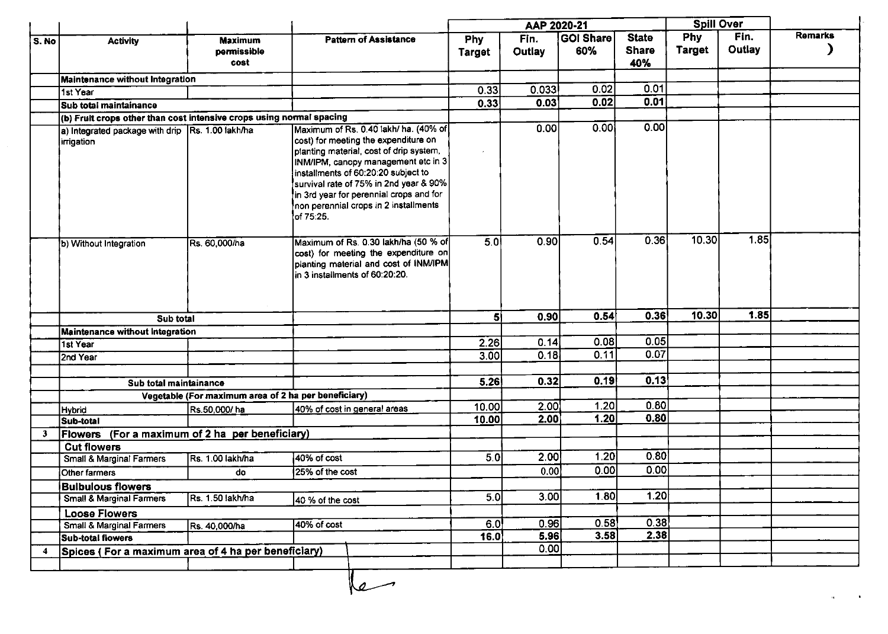|              |                                                                      |                                                      |                                                                                                                                                                                                                                                                                                                                                   |                             | AAP 2020-21    |                         |                                     | <b>Spill Over</b>    |                |                |
|--------------|----------------------------------------------------------------------|------------------------------------------------------|---------------------------------------------------------------------------------------------------------------------------------------------------------------------------------------------------------------------------------------------------------------------------------------------------------------------------------------------------|-----------------------------|----------------|-------------------------|-------------------------------------|----------------------|----------------|----------------|
| S. No        | <b>Activity</b>                                                      | <b>Maximum</b><br>permissible<br>cost                | <b>Pattern of Assistance</b>                                                                                                                                                                                                                                                                                                                      | <b>Phy</b><br><b>Target</b> | Fin.<br>Outlay | <b>GOI Share</b><br>60% | <b>State</b><br><b>Share</b><br>40% | Phy<br><b>Target</b> | Fin.<br>Outlay | <b>Remarks</b> |
|              | <b>Maintenance without Integration</b>                               |                                                      |                                                                                                                                                                                                                                                                                                                                                   |                             |                |                         |                                     |                      |                |                |
|              | 1st Year                                                             |                                                      |                                                                                                                                                                                                                                                                                                                                                   | 0.33                        | 0.033          | 0.02                    | 0.01                                |                      |                |                |
|              | Sub total maintainance                                               |                                                      |                                                                                                                                                                                                                                                                                                                                                   | 0.33                        | 0.03           | 0.02                    | 0.01                                |                      |                |                |
|              | (b) Fruit crops other than cost intensive crops using normal spacing |                                                      |                                                                                                                                                                                                                                                                                                                                                   |                             |                |                         |                                     |                      |                |                |
|              | a) Integrated package with drip Rs. 1.00 lakh/ha<br>irrigation       |                                                      | Maximum of Rs. 0.40 lakh/ ha. (40% of<br>cost) for meeting the expenditure on<br>planting material, cost of drip system,<br>INM/IPM, canopy management etc in 3<br>installments of 60:20:20 subject to<br>survival rate of 75% in 2nd year & 90%<br>in 3rd year for perennial crops and for<br>non perennial crops in 2 installments<br>of 75.25. |                             | 0.00           | 0.00                    | 0.00                                |                      |                |                |
|              | b) Without Integration                                               | Rs. 60,000/ha                                        | Maximum of Rs. 0.30 lakh/ha (50 % of<br>cost) for meeting the expenditure on<br>planting material and cost of INM/IPM<br>in 3 installments of 60:20:20.                                                                                                                                                                                           | $\overline{5}$ .0           | 0.90           | 0.54                    | 0.36                                | 10.30                | 1.85           |                |
|              | Sub total                                                            |                                                      |                                                                                                                                                                                                                                                                                                                                                   | 5 <sup>1</sup>              | 0.90           | 0.54                    | 0.36                                | 10.30                | 1.85           |                |
|              | Maintenance without Integration                                      |                                                      |                                                                                                                                                                                                                                                                                                                                                   |                             |                |                         |                                     |                      |                |                |
|              | 1st Year                                                             |                                                      |                                                                                                                                                                                                                                                                                                                                                   | 2.26                        | 0.14           | 0.08                    | 0.05                                |                      |                |                |
|              |                                                                      |                                                      |                                                                                                                                                                                                                                                                                                                                                   | 3.00                        | 0.18           | 0.11                    | 0.07                                |                      |                |                |
|              | 2nd Year                                                             |                                                      |                                                                                                                                                                                                                                                                                                                                                   |                             |                |                         |                                     |                      |                |                |
|              |                                                                      |                                                      |                                                                                                                                                                                                                                                                                                                                                   | 5.26                        | 0.32           | 0.19                    | 0.13                                |                      |                |                |
|              | Sub total maintainance                                               |                                                      |                                                                                                                                                                                                                                                                                                                                                   |                             |                |                         |                                     |                      |                |                |
|              |                                                                      | Vegetable (For maximum area of 2 ha per beneficiary) |                                                                                                                                                                                                                                                                                                                                                   | 10.00                       | 2.00           | 1.20                    | 0.80                                |                      |                |                |
|              | Hybrid                                                               | Rs.50,000/ha                                         | 40% of cost in general areas                                                                                                                                                                                                                                                                                                                      | 10.00                       | 2.00           | 1.20                    | 0.80                                |                      |                |                |
|              | Sub-total                                                            |                                                      |                                                                                                                                                                                                                                                                                                                                                   |                             |                |                         |                                     |                      |                |                |
| $\mathbf{3}$ | Flowers (For a maximum of 2 ha per beneficiary)                      |                                                      |                                                                                                                                                                                                                                                                                                                                                   |                             |                |                         |                                     |                      |                |                |
|              | <b>Cut flowers</b>                                                   |                                                      | 40% of cost                                                                                                                                                                                                                                                                                                                                       | $\overline{5.0}$            | 2.00           | 1.20                    | 0.80                                |                      |                |                |
|              | Small & Marginal Farmers                                             | <b>Rs. 1.00 lakh/ha</b>                              |                                                                                                                                                                                                                                                                                                                                                   |                             |                | 0.00                    | 0.00                                |                      |                |                |
|              | Other farmers                                                        | do                                                   | 25% of the cost                                                                                                                                                                                                                                                                                                                                   |                             | 0.00           |                         |                                     |                      |                |                |
|              | <b>Bulbulous flowers</b>                                             |                                                      |                                                                                                                                                                                                                                                                                                                                                   |                             |                |                         | 1.20                                |                      |                |                |
|              | Small & Marginal Farmers                                             | Rs. 1.50 lakh/ha                                     | 40 % of the cost                                                                                                                                                                                                                                                                                                                                  | 5.0                         | 3.00           | 1.80                    |                                     |                      |                |                |
|              | <b>Loose Flowers</b>                                                 |                                                      |                                                                                                                                                                                                                                                                                                                                                   |                             |                |                         |                                     |                      |                |                |
|              | <b>Small &amp; Marginal Farmers</b>                                  | Rs. 40,000/ha                                        | $40%$ of cost                                                                                                                                                                                                                                                                                                                                     | 6.0                         | 0.96           | 0.58                    | 0.38                                |                      |                |                |
|              | Sub-total flowers                                                    |                                                      |                                                                                                                                                                                                                                                                                                                                                   | 16.0                        | 5.96           | 3.58                    | 2.38                                |                      |                |                |
| 4            | Spices (For a maximum area of 4 ha per beneficiary)                  |                                                      |                                                                                                                                                                                                                                                                                                                                                   |                             | 0.00           |                         |                                     |                      |                |                |
|              |                                                                      |                                                      |                                                                                                                                                                                                                                                                                                                                                   |                             |                |                         |                                     |                      |                |                |

 $\sim$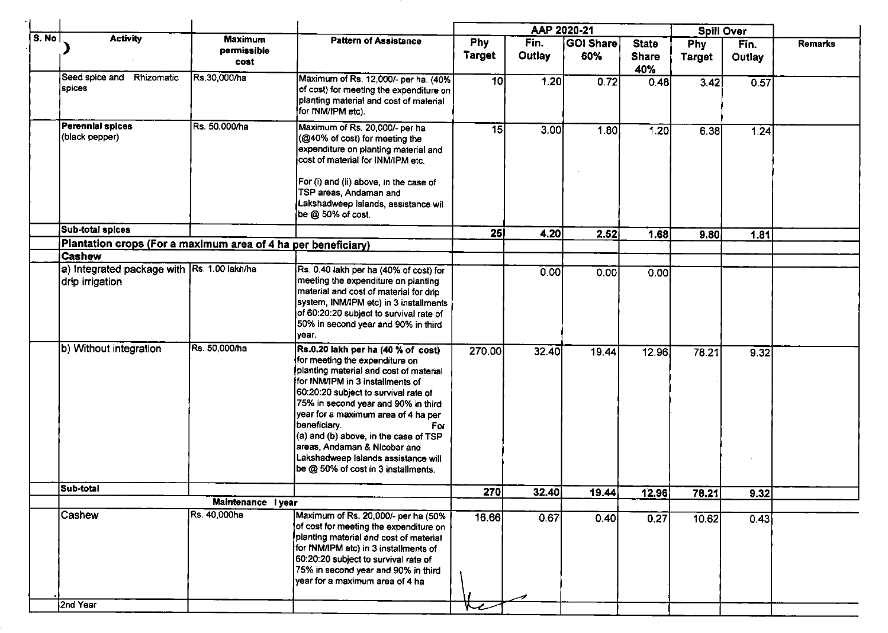|       |                                                                |                                       |                                                                                                                                                                                                                                                                                                                                                                                                                                                        |                      |                | AAP 2020-21             |                                     |                             | <b>Spill Over</b> |                |
|-------|----------------------------------------------------------------|---------------------------------------|--------------------------------------------------------------------------------------------------------------------------------------------------------------------------------------------------------------------------------------------------------------------------------------------------------------------------------------------------------------------------------------------------------------------------------------------------------|----------------------|----------------|-------------------------|-------------------------------------|-----------------------------|-------------------|----------------|
| S. No | <b>Activity</b>                                                | <b>Maximum</b><br>permissible<br>cost | <b>Pattern of Assistance</b>                                                                                                                                                                                                                                                                                                                                                                                                                           | Phy<br><b>Target</b> | Fin.<br>Outlay | <b>GOI Share</b><br>60% | <b>State</b><br><b>Share</b><br>40% | <b>Phy</b><br><b>Target</b> | Fin.<br>Outlay    | <b>Remarks</b> |
|       | Seed spice and Rhizomatic<br>spices                            | Rs.30,000/ha                          | Maximum of Rs. 12,000/- per ha. (40%)<br>of cost) for meeting the expenditure on<br>planting material and cost of material<br>for INM/IPM etc).                                                                                                                                                                                                                                                                                                        | 10 <sup>1</sup>      | 1.20           | 0.72                    | 0.48                                | 3.42                        | 0.57              |                |
|       | Perennial spices<br>(black pepper)                             | Rs. 50,000/ha                         | Maximum of Rs. 20,000/- per ha<br>(@40% of cost) for meeting the<br>expenditure on planting material and<br>cost of material for INM/IPM etc.                                                                                                                                                                                                                                                                                                          | 15                   | 3.00           | 1.80                    | 1.20                                | 6.38                        | 1.24              |                |
|       |                                                                |                                       | For (i) and (ii) above, in the case of<br>TSP areas, Andaman and<br>Lakshadweep Islands, assistance will<br>be @ 50% of cost.                                                                                                                                                                                                                                                                                                                          |                      |                |                         |                                     |                             |                   |                |
|       | Sub-total spices                                               |                                       |                                                                                                                                                                                                                                                                                                                                                                                                                                                        | 25                   | 4.20           | 2.52                    | 1.68                                | 9.80                        | 1.81              |                |
|       | Plantation crops (For a maximum area of 4 ha per beneficiary)  |                                       |                                                                                                                                                                                                                                                                                                                                                                                                                                                        |                      |                |                         |                                     |                             |                   |                |
|       | <b>Cashew</b>                                                  |                                       |                                                                                                                                                                                                                                                                                                                                                                                                                                                        |                      |                |                         |                                     |                             |                   |                |
|       | a) Integrated package with Rs. 1.00 lakh/ha<br>drip irrigation |                                       | Rs. 0.40 lakh per ha (40% of cost) for<br>meeting the expenditure on planting<br>material and cost of material for drip<br>system, INM/IPM etc) in 3 installments<br>of 60:20:20 subject to survival rate of<br>50% in second year and 90% in third<br>year.                                                                                                                                                                                           |                      | 0.00           | 0.00                    | 0.00                                |                             |                   |                |
|       | b) Without integration                                         | Rs. 50,000/ha                         | Rs.0.20 lakh per ha (40 % of cost)<br>for meeting the expenditure on<br>planting material and cost of material<br>for INM/IPM in 3 installments of<br>60:20:20 subject to survival rate of<br>75% in second year and 90% in third<br>year for a maximum area of 4 ha per<br>beneficiary.<br>For<br>(a) and (b) above, in the case of TSP<br>areas, Andaman & Nicobar and<br>Lakshadweep Islands assistance will<br>be @ 50% of cost in 3 installments. | 270.00               | 32.40          | 19.44                   | 12.96                               | 78.21                       | 9.32              |                |
|       | Sub-total                                                      |                                       |                                                                                                                                                                                                                                                                                                                                                                                                                                                        | 270                  | 32.40          | 19.44                   | 12.96                               | 78.21                       | 9.32              |                |
|       |                                                                | Maintenance lyear                     |                                                                                                                                                                                                                                                                                                                                                                                                                                                        |                      |                |                         |                                     |                             |                   |                |
|       | <b>Cashew</b>                                                  | Rs. 40,000ha                          | Maximum of Rs. 20,000/- per ha (50%<br>of cost for meeting the expenditure on<br>planting material and cost of material<br>for INM/IPM etc) in 3 installments of<br>60:20:20 subject to survival rate of<br>75% in second year and 90% in third<br>year for a maximum area of 4 ha                                                                                                                                                                     | 16.66                | 0.67           | 0.40                    | 0.27                                | 10.62                       | 0.43              |                |
|       | 2nd Year                                                       |                                       |                                                                                                                                                                                                                                                                                                                                                                                                                                                        |                      |                |                         |                                     |                             |                   |                |
|       |                                                                |                                       |                                                                                                                                                                                                                                                                                                                                                                                                                                                        |                      |                |                         |                                     |                             |                   |                |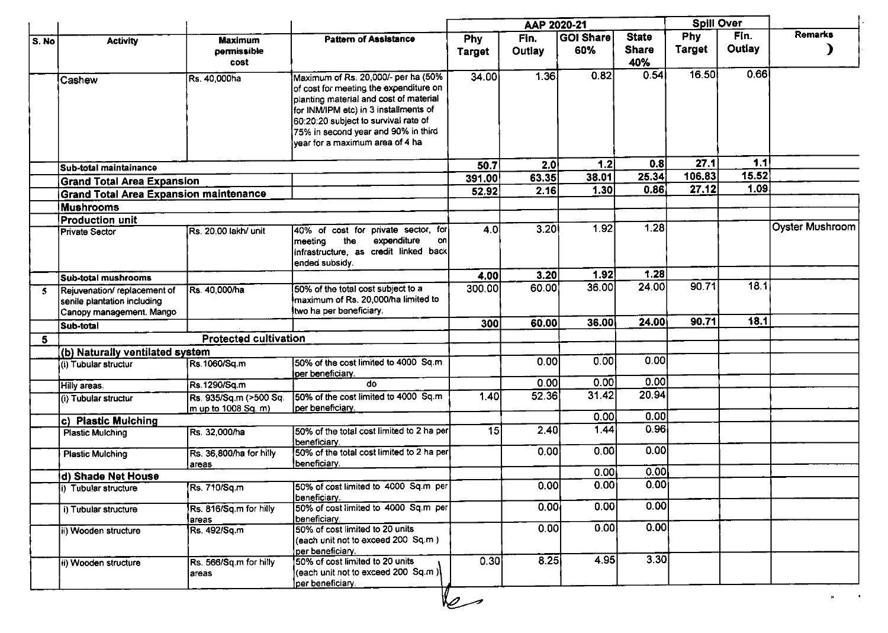|              |                                                                                        |                                               |                                                                                                                                                                                                                                                                                    |                 | AAP 2020-21 |                  |                     | <b>Spill Over</b> |        |                        |
|--------------|----------------------------------------------------------------------------------------|-----------------------------------------------|------------------------------------------------------------------------------------------------------------------------------------------------------------------------------------------------------------------------------------------------------------------------------------|-----------------|-------------|------------------|---------------------|-------------------|--------|------------------------|
| S. No        | <b>Activity</b>                                                                        | <b>Maximum</b>                                | <b>Pattern of Assistance</b>                                                                                                                                                                                                                                                       | <b>Phy</b>      | Fin.        | <b>GOI Share</b> | <b>State</b>        | <b>Phy</b>        | Fin.   | <b>Remarks</b>         |
|              |                                                                                        | permissible<br>cost                           |                                                                                                                                                                                                                                                                                    | <b>Target</b>   | Outlay      | 60%              | <b>Share</b><br>40% | <b>Target</b>     | Outlay |                        |
|              | Cashew                                                                                 | Rs. 40,000ha                                  | Maximum of Rs. 20,000/- per ha (50%<br>of cost for meeting the expenditure on<br>planting material and cost of material<br>for INM/IPM etc) in 3 installments of<br>60:20:20 subject to survival rate of<br>75% in second year and 90% in third<br>year for a maximum area of 4 ha | 34.00           | 1.36        | 0.82             | 0.54                | 16.50             | 066    |                        |
|              | İSub-total maintainance                                                                |                                               |                                                                                                                                                                                                                                                                                    | 50.7            | 2.0         | 1.2              | 0.8                 | 27.1              | 1.1    |                        |
|              | <b>Grand Total Area Expansion</b>                                                      |                                               |                                                                                                                                                                                                                                                                                    | 391.00          | 63.35       | 38.01            | 25.34               | 106.83            | 15.52  |                        |
|              | <b>Grand Total Area Expansion maintenance</b>                                          |                                               |                                                                                                                                                                                                                                                                                    | 52.92           | 2.16        | 1.30             | 0.86                | 27.12             | 1.09   |                        |
|              | <b>Mushrooms</b>                                                                       |                                               |                                                                                                                                                                                                                                                                                    |                 |             |                  |                     |                   |        |                        |
|              | Production unit                                                                        |                                               |                                                                                                                                                                                                                                                                                    |                 |             |                  |                     |                   |        |                        |
|              | Private Sector                                                                         | Rs. 20.00 lakh/ unit                          | private sector, for<br>140% of cost for<br>expenditure<br>the<br>on<br>meeting<br>infrastructure, as credit linked back<br>ended subsidy.                                                                                                                                          | 4.0             | 3.20        | 1.92             | 1.28                |                   |        | <b>Oyster Mushroom</b> |
|              | Sub-total mushrooms                                                                    |                                               |                                                                                                                                                                                                                                                                                    | 4.00            | 3.20        | 1.92             | 1.28                |                   |        |                        |
| $\mathbf{5}$ | Rejuvenation/replacement of<br>senile plantation including<br>Canopy management. Mango | Rs. 40,000/ha                                 | 50% of the total cost subject to a<br>maximum of Rs. 20,000/ha limited to<br>ltwo ha per beneficiary.                                                                                                                                                                              | 300.00          | 60.00       | 36.00            | 24.00               | 90.71             | 18.1   |                        |
|              | Sub-total                                                                              |                                               |                                                                                                                                                                                                                                                                                    | <b>300</b>      | 60.00       | 36.00            | 24.00               | 90.71             | 18.1   |                        |
| 5            |                                                                                        | <b>Protected cultivation</b>                  |                                                                                                                                                                                                                                                                                    |                 |             |                  |                     |                   |        |                        |
|              | (b) Naturally ventilated system                                                        |                                               |                                                                                                                                                                                                                                                                                    |                 |             |                  |                     |                   |        |                        |
|              | (i) Tubular structur                                                                   | Rs.1060/Sq.m                                  | 50% of the cost limited to 4000 Sq.m<br>per beneficiary.                                                                                                                                                                                                                           |                 | 0.00        | 0.00             | 0.00 <sub>l</sub>   |                   |        |                        |
|              | Hilly areas.                                                                           | Rs.1290/Sq.m                                  | do                                                                                                                                                                                                                                                                                 |                 | 0.00        | 0.00             | 0.00                |                   |        |                        |
|              | (i) Tubular structur                                                                   | Rs. 935/Sq.m (>500 Sq.<br>m up to 1008 Sq. m) | 50% of the cost limited to 4000 Sq.m<br>lper beneficiary.                                                                                                                                                                                                                          | 1.40            | 52.36       | 31.42            | 20.94               |                   |        |                        |
|              | c) Plastic Mulching                                                                    |                                               |                                                                                                                                                                                                                                                                                    |                 |             | 0.00             | 0.00                |                   |        |                        |
|              | <b>Plastic Mulching</b>                                                                | Rs. 32,000/ha                                 | 50% of the total cost limited to 2 ha per<br>Ibeneficiary.                                                                                                                                                                                                                         | $\overline{15}$ | 2.40        | 1.44             | 0.96                |                   |        |                        |
|              | <b>Plastic Mulching</b>                                                                | Rs. 36,800/ha for hilly<br>areas              | 50% of the total cost limited to 2 ha per<br>beneficiary.                                                                                                                                                                                                                          |                 | 0.00        | 0.00             | 0.00                |                   |        |                        |
|              | d) Shade Net House                                                                     |                                               |                                                                                                                                                                                                                                                                                    |                 |             | 0.00             | 0.00                |                   |        |                        |
|              | i) Tubular structure                                                                   | Rs. 710/Sq.m                                  | 50% of cost limited to 4000 Sq.m per<br>beneficiary.                                                                                                                                                                                                                               |                 | 0.00        | 0.00             | 0.00                |                   |        |                        |
|              | i) Tubular structure                                                                   | Rs. 816/Sq.m for hilly<br>areas               | 50% of cost limited to 4000 Sq.m per<br><b>Ibeneficiary.</b>                                                                                                                                                                                                                       |                 | 0.00        | 0.00             | 0.00                |                   |        |                        |
|              | ii) Wooden structure                                                                   | Rs. 492/Sq.m                                  | 50% of cost limited to 20 units<br>(each unit not to exceed 200 Sq.m)<br>per beneficiary.                                                                                                                                                                                          |                 | 0.00        | 0.00             | 0.00                |                   |        |                        |
|              | ii) Wooden structure                                                                   | Rs. 566/Sq.m for hilly<br>areas               | 50% of cost limited to 20 units<br>(each unit not to exceed 200 Sq.m)<br>per beneficiary.                                                                                                                                                                                          | 0.30            | 8.25        | 4.95             | 3.30                |                   |        |                        |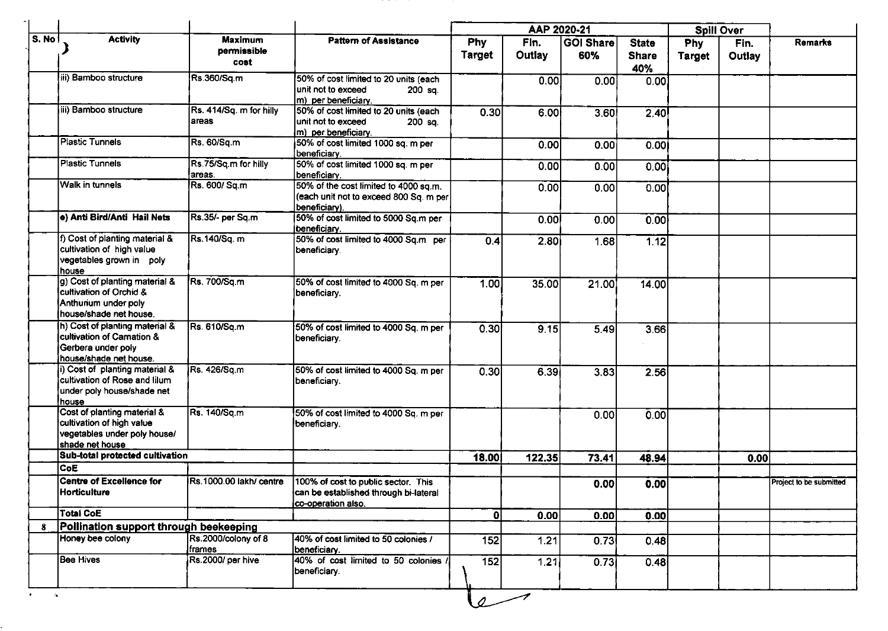|                              |                                                                                                             |                                       |                                                                                                    |                      | AAP 2020-21    |                         |                                     |                      | Spill Over     |                         |
|------------------------------|-------------------------------------------------------------------------------------------------------------|---------------------------------------|----------------------------------------------------------------------------------------------------|----------------------|----------------|-------------------------|-------------------------------------|----------------------|----------------|-------------------------|
| $\overline{\mathsf{s}}$ . No | <b>Activity</b>                                                                                             | <b>Maximum</b><br>permissible<br>cost | <b>Pattern of Assistance</b>                                                                       | Phy<br><b>Target</b> | Fin.<br>Outlay | <b>GOI Share</b><br>60% | <b>State</b><br><b>Share</b><br>40% | Phy<br><b>Target</b> | Fin.<br>Outlay | Remarks                 |
|                              | iii) Bamboo structure                                                                                       | Rs.360/Sq.m                           | 50% of cost limited to 20 units (each<br>unit not to exceed<br>200 sq.<br>m) per beneficiary.      |                      | 0.00           | 0.00                    | 0.00                                |                      |                |                         |
|                              | iii) Bamboo structure                                                                                       | Rs. 414/Sq. m for hilly<br>areas      | 50% of cost limited to 20 units (each<br>unit not to exceed<br>200 sq.<br>m) per beneficiary.      | 0.30                 | 6.00           | 3.60                    | 2.40                                |                      |                |                         |
|                              | <b>Plastic Tunnels</b>                                                                                      | Rs. 60/Sq.m                           | 50% of cost limited 1000 sq. m per<br>beneficiary.                                                 |                      | 0.00           | 0.00                    | 0.001                               |                      |                |                         |
|                              | <b>Plastic Tunnels</b>                                                                                      | Rs.75/Sq.m for hilly<br>areas.        | 50% of cost limited 1000 sq. m per<br>beneficiary.                                                 |                      | 0.00           | 0.00                    | 0.00                                |                      |                |                         |
|                              | <b>Walk in tunnels</b>                                                                                      | Rs. 600/ Sq.m                         | 50% of the cost limited to 4000 sq.m.<br>(each unit not to exceed 800 Sq. m per<br>beneficiary).   |                      | 0.00           | 0.00                    | 0.00                                |                      |                |                         |
|                              | e) Anti Bird/Anti Hail Nets                                                                                 | Rs.35/- per Sq.m                      | 50% of cost limited to 5000 Sq.m per<br>beneficiary.                                               |                      | 0.00           | 0.00                    | 0.00                                |                      |                |                         |
|                              | f) Cost of planting material &<br>cultivation of high value<br>vegetables grown in poly<br>house            | Rs.140/Sq. m                          | 50% of cost limited to 4000 Sq.m per<br>beneficiary.                                               | 0.4                  | 2.80           | 1.68                    | 1.12                                |                      |                |                         |
|                              | g) Cost of planting material &<br>cultivation of Orchid &<br>Anthurium under poly<br>house/shade net house. | Rs. 700/Sq.m                          | 50% of cost limited to 4000 Sq. m per<br>beneficiary.                                              | 1.00                 | 35.00          | 21.00                   | 14.00                               |                      |                |                         |
|                              | h) Cost of planting material &<br>cultivation of Camation &<br>Gerbera under poly<br>house/shade net house. | Rs. 610/Sq.m                          | 50% of cost limited to 4000 Sq. m per<br>beneficiary.                                              | 0.30                 | 915            | 5.49                    | 3.66                                |                      |                |                         |
|                              | i) Cost of planting material &<br>cultivation of Rose and lilum<br>under poly house/shade net<br>house      | Rs. 426/Sq.m                          | 50% of cost limited to 4000 Sq. m per<br>beneficiary.                                              | 0.30                 | 6.39           | 3.83                    | 2.56                                |                      |                |                         |
|                              | Cost of planting material &<br>cultivation of high value<br>vegetables under poly house/<br>shade net house | Rs. 140/Sq.m                          | 50% of cost limited to 4000 Sq. m per<br>beneficiary.                                              |                      |                | 0.00                    | 0.00                                |                      |                |                         |
|                              | Sub-total protected cultivation                                                                             |                                       |                                                                                                    | 18.00                | 122.35         | 73.41                   | 48.94                               |                      | 0.00           |                         |
|                              | <b>CoE</b>                                                                                                  |                                       |                                                                                                    |                      |                |                         |                                     |                      |                |                         |
|                              | <b>Centre of Excellence for</b><br><b>Horticulture</b>                                                      | Rs.1000.00 lakh/centre                | 100% of cost to public sector. This<br>can be established through bi-lateral<br>co-operation also. |                      |                | 0.00                    | 0.00                                |                      |                | Project to be submitted |
|                              | <b>Total CoE</b>                                                                                            |                                       |                                                                                                    | 0                    | 0.00           | 0.00                    | 0.00                                |                      |                |                         |
| 8                            | Pollination support through beekeeping                                                                      |                                       |                                                                                                    |                      |                |                         |                                     |                      |                |                         |
|                              | Honey bee colony                                                                                            | Rs.2000/colony of 8<br> frames        | 40% of cost limited to 50 colonies /<br>beneficiary.                                               | 152                  | 1.21           | 0.73                    | 0.48                                |                      |                |                         |
|                              | <b>Bee Hives</b>                                                                                            | Rs 2000/ per hive                     | 40% of cost limited to 50 colonies /<br>beneficiary.                                               | $\overline{152}$     | 1.21           | 0.73                    | 0.48                                |                      |                |                         |
| <b>Controller</b>            |                                                                                                             |                                       |                                                                                                    | $\varphi$            |                |                         |                                     |                      |                |                         |

and the state of the con-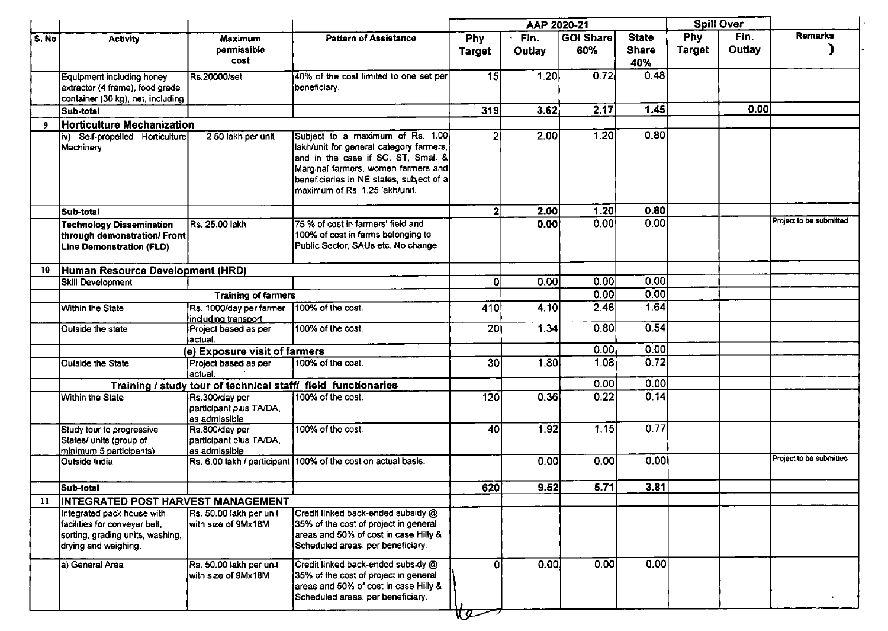|       | AAP 2020-21                                                                                              |                                                            |                                                                                                                                                                                                                                          |                      | <b>Spill Over</b> |                   |                                     |                      |                |                         |
|-------|----------------------------------------------------------------------------------------------------------|------------------------------------------------------------|------------------------------------------------------------------------------------------------------------------------------------------------------------------------------------------------------------------------------------------|----------------------|-------------------|-------------------|-------------------------------------|----------------------|----------------|-------------------------|
| S. No | <b>Activity</b>                                                                                          | <b>Maximum</b><br>permissible<br>cost                      | <b>Pattern of Assistance</b>                                                                                                                                                                                                             | Phy<br><b>Target</b> | Fin.<br>Outlay    | GOI Share<br>60%  | <b>State</b><br><b>Share</b><br>40% | <b>Phy</b><br>Target | Fin.<br>Outlay | <b>Remarks</b>          |
|       | <b>Equipment including honey</b><br>extractor (4 frame), food grade<br>container (30 kg), net, including | Rs.20000/set                                               | 40% of the cost limited to one set per<br>beneficiary.                                                                                                                                                                                   | 15                   | 1.20              | 0.72              | 0.48                                |                      |                |                         |
|       | Sub-total                                                                                                |                                                            |                                                                                                                                                                                                                                          | 319                  | 3.62              | 2.17              | 1.45                                |                      | 0.00           |                         |
| - 9   | <b>Horticulture Mechanization</b>                                                                        |                                                            |                                                                                                                                                                                                                                          |                      |                   |                   |                                     |                      |                |                         |
|       | iv) Self-propelled Horticulture<br>Machinery                                                             | 2.50 lakh per unit                                         | Subject to a maximum of Rs. 1.00.<br>lakh/unit for general category farmers,<br>and in the case if SC, ST, Small &<br>Marginal farmers, women farmers and<br>beneficiaries in NE states, subject of a<br>lmaximum of Rs. 1.25 lakh/unit. | $\overline{2}$       | 2.00              | 1.20              | 0.80                                |                      |                |                         |
|       | Sub-total                                                                                                |                                                            |                                                                                                                                                                                                                                          | 2 <sup>1</sup>       | 2.00              | 1.20              | 0.80                                |                      |                |                         |
|       | <b>Technology Dissemination</b><br>through demonstration/ Front<br><b>Line Demonstration (FLD)</b>       | Rs. 25.00 lakh                                             | 75 % of cost in farmers' field and<br>100% of cost in farms belonging to<br>Public Sector, SAUs etc. No change                                                                                                                           |                      | 0.00              | 0.00              | 0.00                                |                      |                | Project to be submitted |
| 10    | Human Resource Development (HRD)                                                                         |                                                            |                                                                                                                                                                                                                                          |                      |                   |                   |                                     |                      |                |                         |
|       | <b>Skill Development</b>                                                                                 |                                                            |                                                                                                                                                                                                                                          | $\Omega$             | 0.00              | 0.00              | 0.00                                |                      |                |                         |
|       |                                                                                                          | <b>Training of farmers</b>                                 |                                                                                                                                                                                                                                          |                      |                   | 0.00              | 0.00                                |                      |                |                         |
|       | Within the State                                                                                         | Rs. 1000/day per farmer<br>including transport             | 100% of the cost.                                                                                                                                                                                                                        | 410                  | 4.10              | 2.46              | 1.64                                |                      |                |                         |
|       | Outside the state                                                                                        | Project based as per<br>l actual.                          | 100% of the cost.                                                                                                                                                                                                                        | 20 <sup>1</sup>      | 1.34              | 0.80              | 0.54                                |                      |                |                         |
|       |                                                                                                          | (e) Exposure visit of farmers                              |                                                                                                                                                                                                                                          |                      |                   | 0.00              | 0.00                                |                      |                |                         |
|       | Outside the State                                                                                        | Project based as per<br>actual.                            | 100% of the cost.                                                                                                                                                                                                                        | 30 <sub>l</sub>      | 1.80              | 1.08              | 0.72                                |                      |                |                         |
|       |                                                                                                          |                                                            | Training / study tour of technical staff/ field functionaries                                                                                                                                                                            |                      |                   | 0.00              | 0.00                                |                      |                |                         |
|       | Within the State                                                                                         | Rs.300/day per<br>participant plus TA/DA,<br>as admissible | 100% of the cost.                                                                                                                                                                                                                        | 120                  | 0.36              | 0.22              | 0.14                                |                      |                |                         |
|       | Study tour to progressive<br>States/ units (group of<br>minimum 5 participants)                          | Rs.800/day per<br>participant plus TA/DA,<br>as admissible | 100% of the cost                                                                                                                                                                                                                         | 40                   | 1.92              | 1.15              | 0.77                                |                      |                |                         |
|       | <b>Outside India</b>                                                                                     |                                                            | Rs. 6.00 lakh / participant 100% of the cost on actual basis.                                                                                                                                                                            |                      | 0.00              | 0.00              | 0.00                                |                      |                | Project to be submitted |
|       | Sub-total                                                                                                |                                                            |                                                                                                                                                                                                                                          | 620                  | 9.52              | 5.71              | 3.81                                |                      |                |                         |
| 11    | INTEGRATED POST HARVEST MANAGEMENT                                                                       |                                                            |                                                                                                                                                                                                                                          |                      |                   |                   |                                     |                      |                |                         |
|       | Integrated pack house with                                                                               | Rs. 50.00 lakh per unit                                    | Credit linked back-ended subsidy @                                                                                                                                                                                                       |                      |                   |                   |                                     |                      |                |                         |
|       | facilities for conveyer belt,                                                                            | with size of 9Mx18M                                        | 35% of the cost of project in general                                                                                                                                                                                                    |                      |                   |                   |                                     |                      |                |                         |
|       | sorting, grading units, washing,<br>drying and weighing.                                                 |                                                            | areas and 50% of cost in case Hilly &<br>Scheduled areas, per beneficiary.                                                                                                                                                               |                      |                   |                   |                                     |                      |                |                         |
|       | a) General Area                                                                                          | Rs. 50.00 lakh per unit<br>with size of 9Mx18M             | Credit linked back-ended subsidy @<br>35% of the cost of project in general<br>areas and 50% of cost in case Hilly &<br>Scheduled areas, per beneficiary.                                                                                | ٥I                   | 0.00              | $\overline{0.00}$ | 0.00                                |                      |                |                         |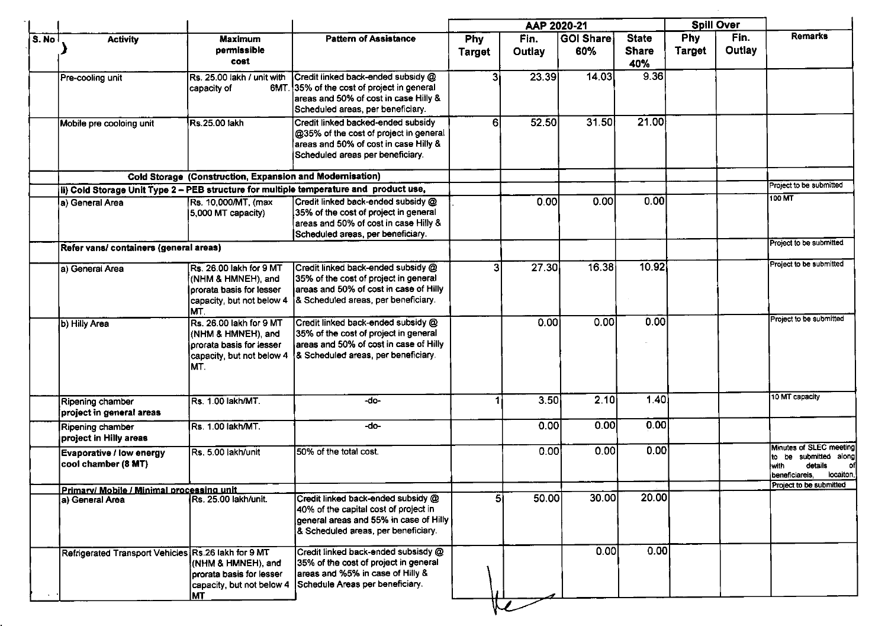|       |                                                        |                                                                                                               |                                                                                                                                                                |                             | AAP 2020-21    |                  |                                     |                             | <b>Spill Over</b> |                                                                                                      |
|-------|--------------------------------------------------------|---------------------------------------------------------------------------------------------------------------|----------------------------------------------------------------------------------------------------------------------------------------------------------------|-----------------------------|----------------|------------------|-------------------------------------|-----------------------------|-------------------|------------------------------------------------------------------------------------------------------|
| S. No | <b>Activity</b>                                        | <b>Maximum</b><br>permissible<br>cost                                                                         | <b>Pattern of Assistance</b>                                                                                                                                   | <b>Phy</b><br><b>Target</b> | Fin.<br>Outlay | GOI Share<br>60% | <b>State</b><br><b>Share</b><br>40% | <b>Phy</b><br><b>Target</b> | Fin.<br>Outlay    | <b>Remarks</b>                                                                                       |
|       | Pre-cooling unit                                       | Rs. 25.00 lakh / unit with<br>capacity of                                                                     | Credit linked back-ended subsidy @<br>6MT. 35% of the cost of project in general<br>areas and 50% of cost in case Hilly &<br>Scheduled areas, per beneficiary. | 31                          | 23.39          | 14.03            | 9.36                                |                             |                   |                                                                                                      |
|       | Mobile pre cooloing unit                               | Rs.25.00 lakh                                                                                                 | Credit linked backed-ended subsidy<br>@35% of the cost of project in general<br>areas and 50% of cost in case Hilly &<br>Scheduled areas per beneficiary.      | 61                          | 52.50          | 31.50            | 21.00                               |                             |                   |                                                                                                      |
|       |                                                        | Cold Storage (Construction, Expansion and Modernisation)                                                      |                                                                                                                                                                |                             |                |                  |                                     |                             |                   |                                                                                                      |
|       |                                                        |                                                                                                               | (ii) Cold Storage Unit Type 2 - PEB structure for multiple temperature and product use,                                                                        |                             |                |                  |                                     |                             |                   | Project to be submitted                                                                              |
|       | la) General Area                                       | Rs. 10,000/MT, (max<br>5,000 MT capacity)                                                                     | Credit linked back-ended subsidy @<br>35% of the cost of project in general<br>areas and 50% of cost in case Hilly &<br>Scheduled areas, per beneficiary.      |                             | 0.001          | 0.00             | 0.00                                |                             |                   | 100 MT                                                                                               |
|       | Refer vans/ containers (general areas)                 |                                                                                                               |                                                                                                                                                                |                             |                |                  |                                     |                             |                   | Project to be submitted                                                                              |
|       | la) General Area                                       | Rs. 26.00 lakh for 9 MT<br>(NHM & HMNEH), and<br>prorata basis for lesser<br>capacity, but not below 4<br>MT. | Credit linked back-ended subsidy @<br>35% of the cost of project in general<br>areas and 50% of cost in case of Hilly<br>& Scheduled areas, per beneficiary.   | 3                           | 27.30          | 16.38            | 10.92                               |                             |                   | Project to be submitted                                                                              |
|       | b) Hilly Area                                          | Rs. 26.00 lakh for 9 MT<br>(NHM & HMNEH), and<br>prorata basis for lesser<br>capacity, but not below 4<br>MT. | Credit linked back-ended subsidy @<br>35% of the cost of project in general<br>areas and 50% of cost in case of Hilly<br>& Scheduled areas, per beneficiary.   |                             | 0.00           | 0.00             | 0.00                                |                             |                   | Project to be submitted                                                                              |
|       | Ripening chamber<br>project in general areas           | Rs. 1.00 lakh/MT.                                                                                             | -do-                                                                                                                                                           |                             | 3.50           | 2.10             | 1.40                                |                             |                   | 10 MT capacity                                                                                       |
|       | Ripening chamber<br>project in Hilly areas             | Rs. 1.00 lakh/MT.                                                                                             | -do-                                                                                                                                                           |                             | 0.00           | 0.00             | 0.00                                |                             |                   |                                                                                                      |
|       | <b>Evaporative / low energy</b><br>cool chamber (8 MT) | Rs. 5.00 lakh/unit                                                                                            | 50% of the total cost.                                                                                                                                         |                             | 0.00           | 0.00             | 0.00                                |                             |                   | Minutes of SLEC meeting<br>to be submitted along<br>details<br>lwith.<br>locaiton,<br>beneficiareis. |
|       | Primary/ Mobile / Minimal processing unit              |                                                                                                               |                                                                                                                                                                |                             |                |                  |                                     |                             |                   | Project to be submitted                                                                              |
|       | (a) General Area                                       | Rs. 25.00 lakh/unit.                                                                                          | Credit linked back-ended subsidy @<br>40% of the capital cost of project in<br>general areas and 55% in case of Hilly<br>& Scheduled areas, per beneficiary.   | 51                          | 50.00          | 30.00            | 20.00                               |                             |                   |                                                                                                      |
|       | Refrigerated Transport Vehicles Rs.26 lakh for 9 MT    | (NHM & HMNEH), and<br>prorata basis for lesser<br>capacity, but not below 4<br><b>MT</b>                      | Credit linked back-ended subsisdy @<br>35% of the cost of project in general<br>areas and %5% in case of Hilly &<br>Schedule Areas per beneficiary.            |                             |                | 0.00             | 0.00                                |                             |                   |                                                                                                      |

 $\mathcal{L}^{\text{max}}_{\text{max}}$